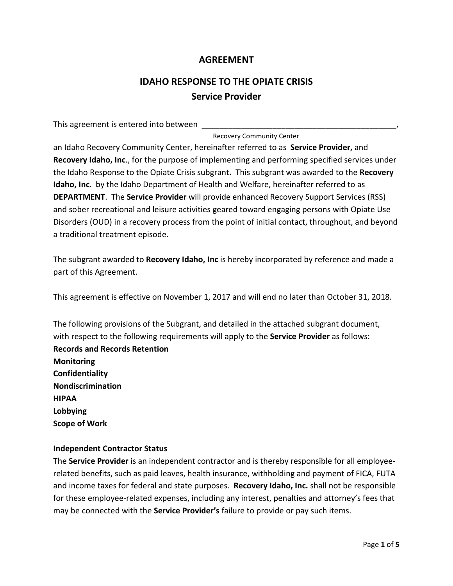# **AGREEMENT**

# **IDAHO RESPONSE TO THE OPIATE CRISIS Service Provider**

This agreement is entered into between

Recovery Community Center

an Idaho Recovery Community Center, hereinafter referred to as **Service Provider,** and **Recovery Idaho, Inc**., for the purpose of implementing and performing specified services under the Idaho Response to the Opiate Crisis subgrant**.** This subgrant was awarded to the **Recovery Idaho, Inc**. by the Idaho Department of Health and Welfare, hereinafter referred to as **DEPARTMENT**. The **Service Provider** will provide enhanced Recovery Support Services (RSS) and sober recreational and leisure activities geared toward engaging persons with Opiate Use Disorders (OUD) in a recovery process from the point of initial contact, throughout, and beyond a traditional treatment episode.

The subgrant awarded to **Recovery Idaho, Inc** is hereby incorporated by reference and made a part of this Agreement.

This agreement is effective on November 1, 2017 and will end no later than October 31, 2018.

The following provisions of the Subgrant, and detailed in the attached subgrant document, with respect to the following requirements will apply to the **Service Provider** as follows: **Records and Records Retention Monitoring Confidentiality Nondiscrimination HIPAA Lobbying Scope of Work**

# **Independent Contractor Status**

The **Service Provider** is an independent contractor and is thereby responsible for all employeerelated benefits, such as paid leaves, health insurance, withholding and payment of FICA, FUTA and income taxes for federal and state purposes. **Recovery Idaho, Inc.** shall not be responsible for these employee-related expenses, including any interest, penalties and attorney's fees that may be connected with the **Service Provider's** failure to provide or pay such items.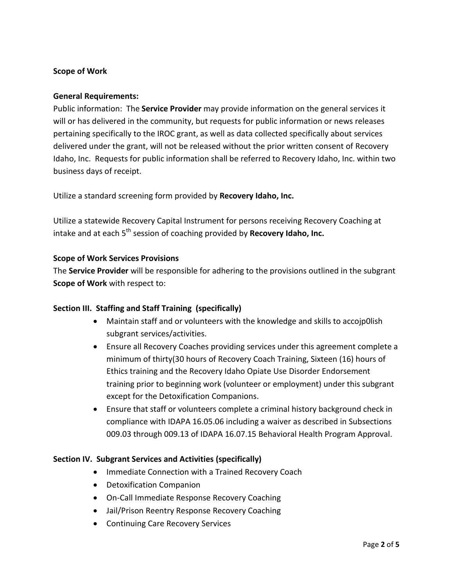# **Scope of Work**

#### **General Requirements:**

Public information: The **Service Provider** may provide information on the general services it will or has delivered in the community, but requests for public information or news releases pertaining specifically to the IROC grant, as well as data collected specifically about services delivered under the grant, will not be released without the prior written consent of Recovery Idaho, Inc. Requests for public information shall be referred to Recovery Idaho, Inc. within two business days of receipt.

Utilize a standard screening form provided by **Recovery Idaho, Inc.**

Utilize a statewide Recovery Capital Instrument for persons receiving Recovery Coaching at intake and at each 5<sup>th</sup> session of coaching provided by **Recovery Idaho, Inc.** 

# **Scope of Work Services Provisions**

The **Service Provider** will be responsible for adhering to the provisions outlined in the subgrant **Scope of Work** with respect to:

# **Section III. Staffing and Staff Training (specifically)**

- Maintain staff and or volunteers with the knowledge and skills to accojp0lish subgrant services/activities.
- Ensure all Recovery Coaches providing services under this agreement complete a minimum of thirty(30 hours of Recovery Coach Training, Sixteen (16) hours of Ethics training and the Recovery Idaho Opiate Use Disorder Endorsement training prior to beginning work (volunteer or employment) under this subgrant except for the Detoxification Companions.
- Ensure that staff or volunteers complete a criminal history background check in compliance with IDAPA 16.05.06 including a waiver as described in Subsections 009.03 through 009.13 of IDAPA 16.07.15 Behavioral Health Program Approval.

# **Section IV. Subgrant Services and Activities (specifically)**

- Immediate Connection with a Trained Recovery Coach
- Detoxification Companion
- On-Call Immediate Response Recovery Coaching
- Jail/Prison Reentry Response Recovery Coaching
- Continuing Care Recovery Services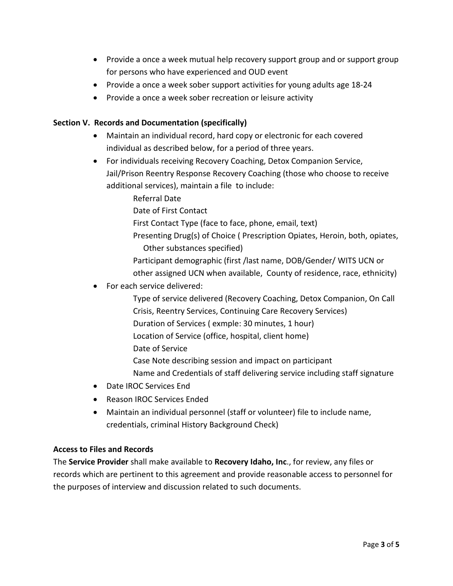- Provide a once a week mutual help recovery support group and or support group for persons who have experienced and OUD event
- Provide a once a week sober support activities for young adults age 18-24
- Provide a once a week sober recreation or leisure activity

# **Section V. Records and Documentation (specifically)**

- Maintain an individual record, hard copy or electronic for each covered individual as described below, for a period of three years.
- For individuals receiving Recovery Coaching, Detox Companion Service, Jail/Prison Reentry Response Recovery Coaching (those who choose to receive additional services), maintain a file to include:
	- Referral Date
	- Date of First Contact
	- First Contact Type (face to face, phone, email, text)
	- Presenting Drug(s) of Choice ( Prescription Opiates, Heroin, both, opiates, Other substances specified)
	- Participant demographic (first /last name, DOB/Gender/ WITS UCN or other assigned UCN when available, County of residence, race, ethnicity)
- For each service delivered:
	- Type of service delivered (Recovery Coaching, Detox Companion, On Call Crisis, Reentry Services, Continuing Care Recovery Services) Duration of Services ( exmple: 30 minutes, 1 hour) Location of Service (office, hospital, client home) Date of Service Case Note describing session and impact on participant
	- Name and Credentials of staff delivering service including staff signature
- Date IROC Services End
- Reason IROC Services Ended
- Maintain an individual personnel (staff or volunteer) file to include name, credentials, criminal History Background Check)

# **Access to Files and Records**

The **Service Provider** shall make available to **Recovery Idaho, Inc**., for review, any files or records which are pertinent to this agreement and provide reasonable access to personnel for the purposes of interview and discussion related to such documents.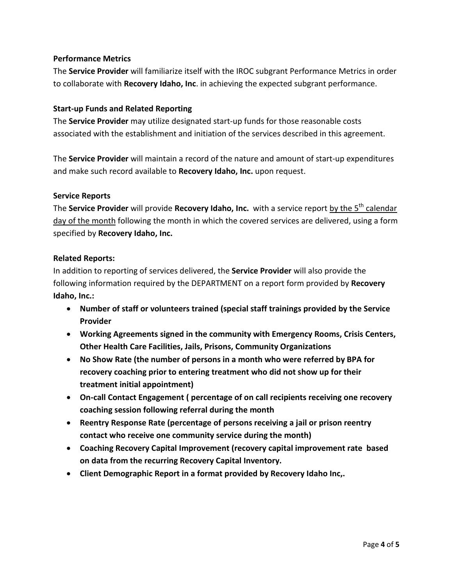# **Performance Metrics**

The **Service Provider** will familiarize itself with the IROC subgrant Performance Metrics in order to collaborate with **Recovery Idaho, Inc**. in achieving the expected subgrant performance.

#### **Start-up Funds and Related Reporting**

The **Service Provider** may utilize designated start-up funds for those reasonable costs associated with the establishment and initiation of the services described in this agreement.

The **Service Provider** will maintain a record of the nature and amount of start-up expenditures and make such record available to **Recovery Idaho, Inc.** upon request.

#### **Service Reports**

The **Service Provider** will provide **Recovery Idaho, Inc.** with a service report by the 5<sup>th</sup> calendar day of the month following the month in which the covered services are delivered, using a form specified by **Recovery Idaho, Inc.**

#### **Related Reports:**

In addition to reporting of services delivered, the **Service Provider** will also provide the following information required by the DEPARTMENT on a report form provided by **Recovery Idaho, Inc.:**

- **Number of staff or volunteers trained (special staff trainings provided by the Service Provider**
- **Working Agreements signed in the community with Emergency Rooms, Crisis Centers, Other Health Care Facilities, Jails, Prisons, Community Organizations**
- **No Show Rate (the number of persons in a month who were referred by BPA for recovery coaching prior to entering treatment who did not show up for their treatment initial appointment)**
- **On-call Contact Engagement ( percentage of on call recipients receiving one recovery coaching session following referral during the month**
- **Reentry Response Rate (percentage of persons receiving a jail or prison reentry contact who receive one community service during the month)**
- **Coaching Recovery Capital Improvement (recovery capital improvement rate based on data from the recurring Recovery Capital Inventory.**
- **Client Demographic Report in a format provided by Recovery Idaho Inc,.**